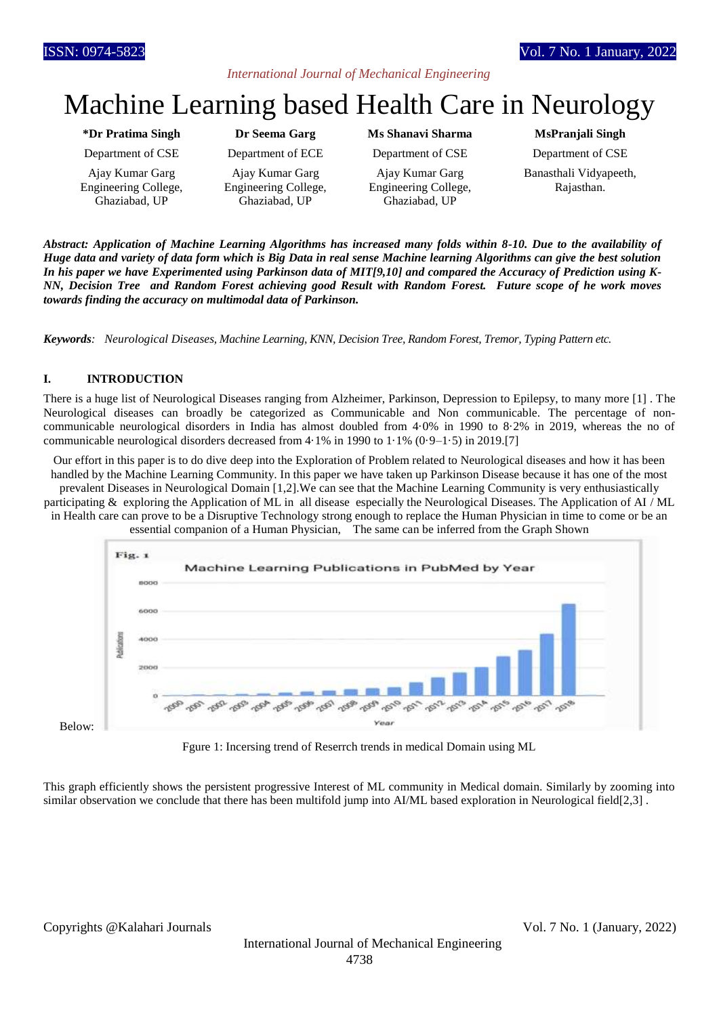## *International Journal of Mechanical Engineering*

# Machine Learning based Health Care in Neurology

#### **\*Dr Pratima Singh Dr Seema Garg Ms Shanavi Sharma MsPranjali Singh**

Ajay Kumar Garg Engineering College, Ghaziabad, UP

Ajay Kumar Garg Engineering College, Ghaziabad, UP

Department of CSE Department of ECE Department of CSE Department of CSE

Ajay Kumar Garg Engineering College, Ghaziabad, UP

Banasthali Vidyapeeth, Rajasthan.

*Abstract: Application of Machine Learning Algorithms has increased many folds within 8-10. Due to the availability of Huge data and variety of data form which is Big Data in real sense Machine learning Algorithms can give the best solution In his paper we have Experimented using Parkinson data of MIT[9,10] and compared the Accuracy of Prediction using K-NN, Decision Tree and Random Forest achieving good Result with Random Forest. Future scope of he work moves towards finding the accuracy on multimodal data of Parkinson.*

*Keywords: Neurological Diseases, Machine Learning, KNN, Decision Tree, Random Forest, Tremor, Typing Pattern etc.*

# **I. INTRODUCTION**

There is a huge list of Neurological Diseases ranging from Alzheimer, Parkinson, Depression to Epilepsy, to many more [1] . The Neurological diseases can broadly be categorized as Communicable and Non communicable. The percentage of noncommunicable neurological disorders in India has almost doubled from 4·0% in 1990 to 8·2% in 2019, whereas the no of communicable neurological disorders decreased from  $4.1\%$  in 1990 to  $1.1\%$  (0.9–1.5) in 2019.[7]

Our effort in this paper is to do dive deep into the Exploration of Problem related to Neurological diseases and how it has been handled by the Machine Learning Community. In this paper we have taken up Parkinson Disease because it has one of the most prevalent Diseases in Neurological Domain [1,2].We can see that the Machine Learning Community is very enthusiastically

participating & exploring the Application of ML in all disease especially the Neurological Diseases. The Application of AI / ML in Health care can prove to be a Disruptive Technology strong enough to replace the Human Physician in time to come or be an





Below:

Fgure 1: Incersing trend of Reserrch trends in medical Domain using ML

This graph efficiently shows the persistent progressive Interest of ML community in Medical domain. Similarly by zooming into similar observation we conclude that there has been multifold jump into AI/ML based exploration in Neurological field[2,3].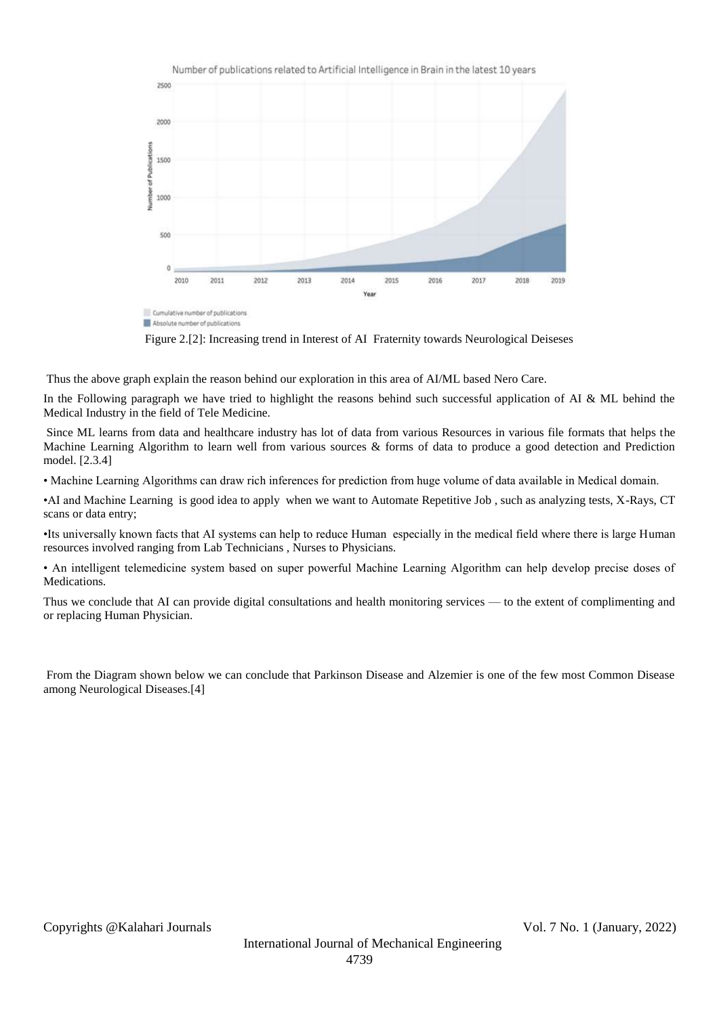

Figure 2.[2]: Increasing trend in Interest of AI Fraternity towards Neurological Deiseses

Thus the above graph explain the reason behind our exploration in this area of AI/ML based Nero Care.

In the Following paragraph we have tried to highlight the reasons behind such successful application of AI  $\&$  ML behind the Medical Industry in the field of Tele Medicine.

Since ML learns from data and healthcare industry has lot of data from various Resources in various file formats that helps the Machine Learning Algorithm to learn well from various sources & forms of data to produce a good detection and Prediction model. [2.3.4]

• Machine Learning Algorithms can draw rich inferences for prediction from huge volume of data available in Medical domain.

•AI and Machine Learning is good idea to apply when we want to Automate Repetitive Job , such as analyzing tests, X-Rays, CT scans or data entry;

•Its universally known facts that AI systems can help to reduce Human especially in the medical field where there is large Human resources involved ranging from Lab Technicians , Nurses to Physicians.

• An intelligent telemedicine system based on super powerful Machine Learning Algorithm can help develop precise doses of Medications.

Thus we conclude that AI can provide digital consultations and health monitoring services — to the extent of complimenting and or replacing Human Physician.

From the Diagram shown below we can conclude that Parkinson Disease and Alzemier is one of the few most Common Disease among Neurological Diseases.[4]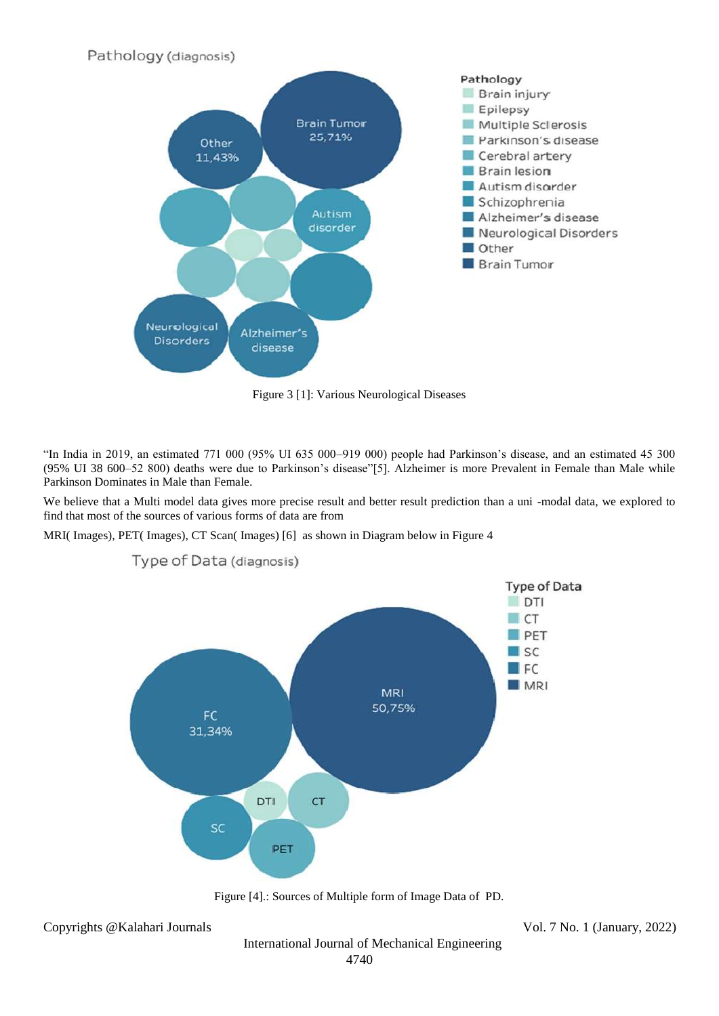

Figure 3 [1]: Various Neurological Diseases

"In India in 2019, an estimated 771 000 (95% UI 635 000–919 000) people had Parkinson's disease, and an estimated 45 300 (95% UI 38 600–52 800) deaths were due to Parkinson's disease"[5]. Alzheimer is more Prevalent in Female than Male while Parkinson Dominates in Male than Female.

We believe that a Multi model data gives more precise result and better result prediction than a uni -modal data, we explored to find that most of the sources of various forms of data are from

MRI( Images), PET( Images), CT Scan( Images) [6] as shown in Diagram below in Figure 4



Type of Data (diagnosis)



Copyrights @Kalahari Journals Vol. 7 No. 1 (January, 2022)

International Journal of Mechanical Engineering 4740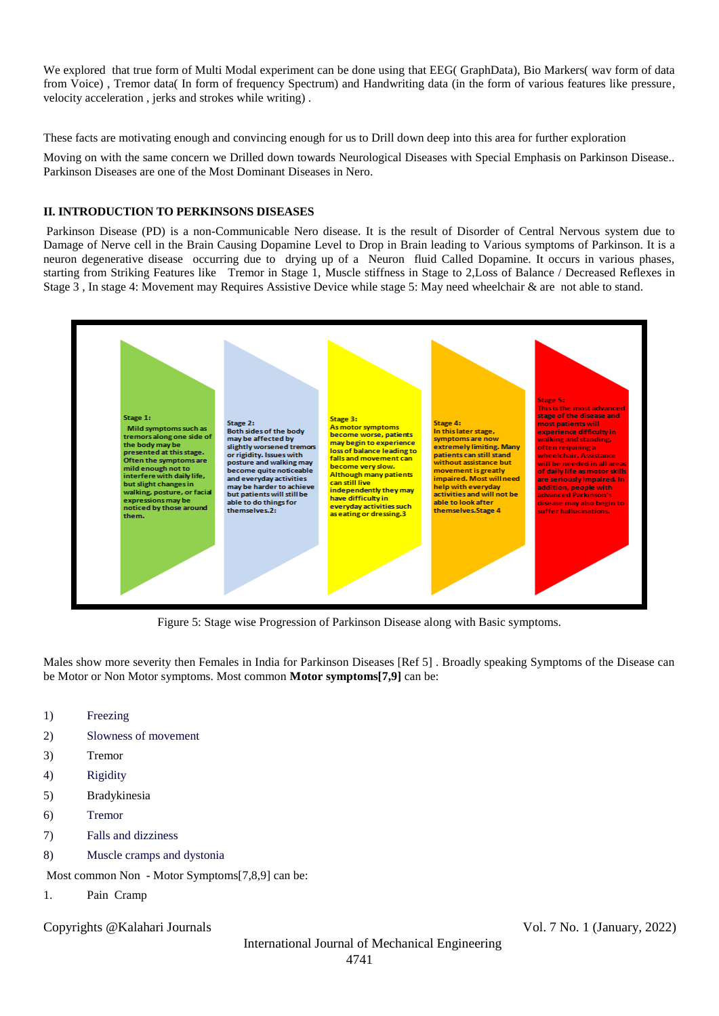We explored that true form of Multi Modal experiment can be done using that EEG( GraphData), Bio Markers( wav form of data from Voice) , Tremor data( In form of frequency Spectrum) and Handwriting data (in the form of various features like pressure, velocity acceleration , jerks and strokes while writing) .

These facts are motivating enough and convincing enough for us to Drill down deep into this area for further exploration

Moving on with the same concern we Drilled down towards Neurological Diseases with Special Emphasis on Parkinson Disease.. Parkinson Diseases are one of the Most Dominant Diseases in Nero.

#### **II. INTRODUCTION TO PERKINSONS DISEASES**

Parkinson Disease (PD) is a non-Communicable Nero disease. It is the result of Disorder of Central Nervous system due to Damage of Nerve cell in the Brain Causing Dopamine Level to Drop in Brain leading to Various symptoms of Parkinson. It is a neuron degenerative disease occurring due to drying up of a Neuron fluid Called Dopamine. It occurs in various phases, starting from Striking Features like Tremor in Stage 1, Muscle stiffness in Stage to 2,Loss of Balance / Decreased Reflexes in Stage 3 , In stage 4: Movement may Requires Assistive Device while stage 5: May need wheelchair & are not able to stand.



Figure 5: Stage wise Progression of Parkinson Disease along with Basic symptoms.

Males show more severity then Females in India for Parkinson Diseases [Ref 5] . Broadly speaking Symptoms of the Disease can be Motor or Non Motor symptoms. Most common **Motor symptoms[7,9]** can be:

- 1) [Freezing](https://www.parkinsons.org.uk/information-and-support/freezing)
- 2) [Slowness of movement](https://www.parkinsons.org.uk/information-and-support/slowness-movement)
- 3) Tremor
- 4) [Rigidity](https://www.parkinsons.org.uk/information-and-support/rigidity)
- 5) Bradykinesia
- 6) [Tremor](https://www.parkinsons.org.uk/information-and-support/tremor)
- 7) [Falls and dizziness](https://www.parkinsons.org.uk/information-and-support/falls-and-dizziness)
- 8) [Muscle cramps and dystonia](https://www.parkinsons.org.uk/information-and-support/muscle-cramps-and-dystonia)

Most common Non - Motor Symptoms[7,8,9] can be:

1. Pain Cramp

Copyrights @Kalahari Journals Vol. 7 No. 1 (January, 2022)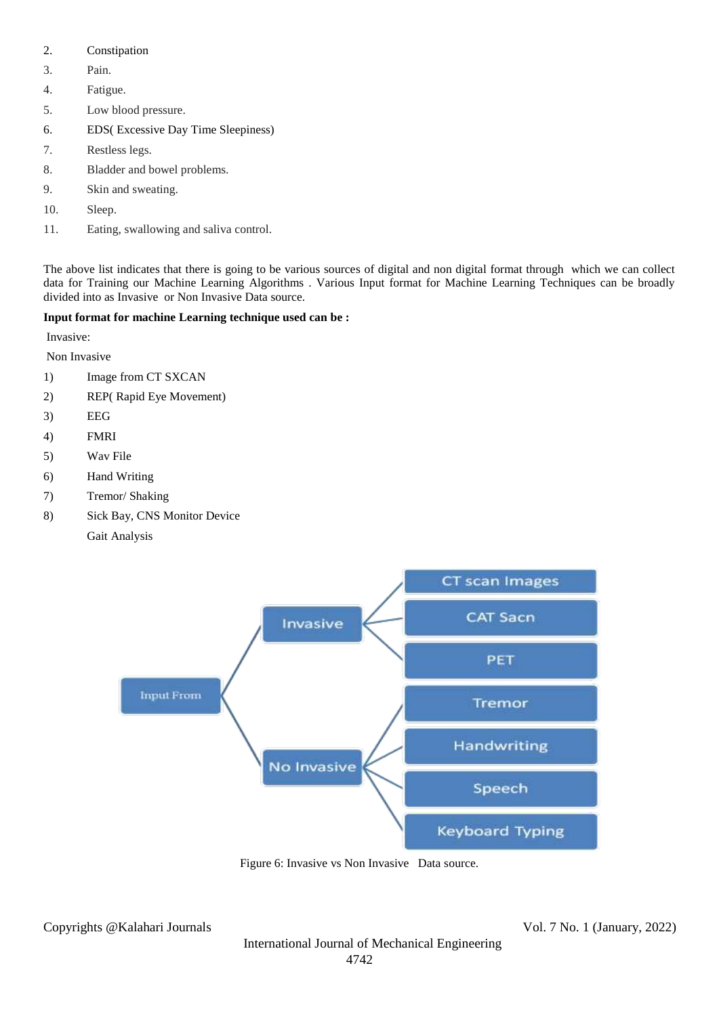- 2. Constipation
- 3. Pain.
- 4. Fatigue.
- 5. Low blood pressure.
- 6. EDS( Excessive Day Time Sleepiness)
- 7. Restless legs.
- 8. Bladder and bowel problems.
- 9. Skin and sweating.
- 10. Sleep.
- 11. Eating, swallowing and saliva control.

The above list indicates that there is going to be various sources of digital and non digital format through which we can collect data for Training our Machine Learning Algorithms . Various Input format for Machine Learning Techniques can be broadly divided into as Invasive or Non Invasive Data source.

## **Input format for machine Learning technique used can be :**

Invasive:

Non Invasive

- 1) Image from CT SXCAN
- 2) REP( Rapid Eye Movement)
- 3) EEG
- 4) FMRI
- 5) Wav File
- 6) Hand Writing
- 7) Tremor/ Shaking
- 8) Sick Bay, CNS Monitor Device
	- Gait Analysis



Figure 6: Invasive vs Non Invasive Data source.

Copyrights @Kalahari Journals Vol. 7 No. 1 (January, 2022)

International Journal of Mechanical Engineering 4742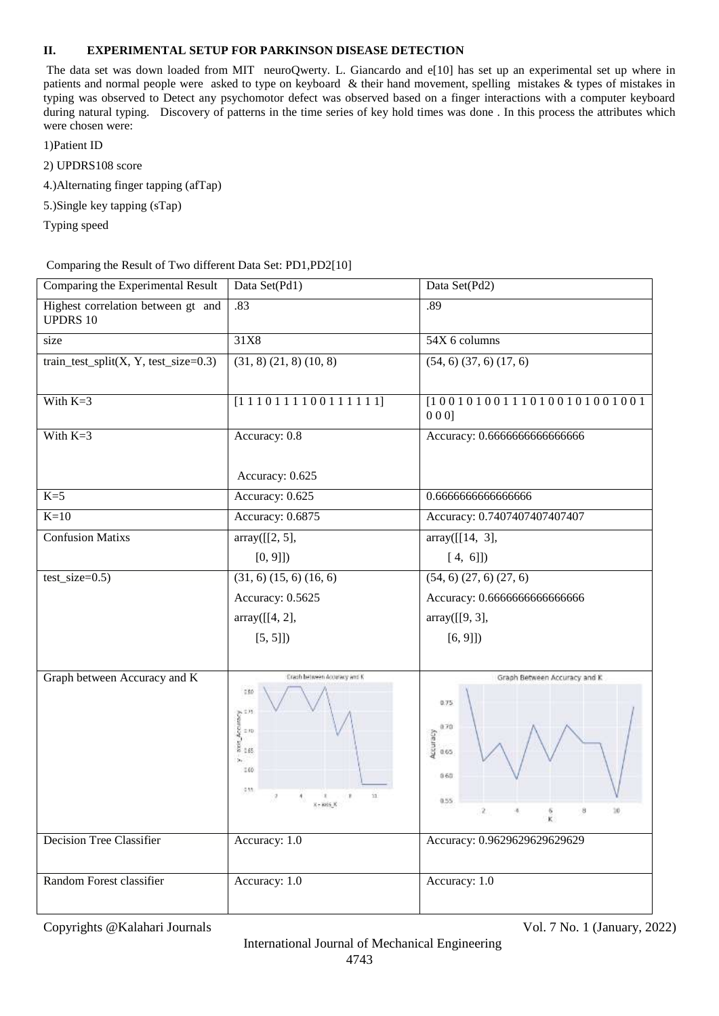#### **II. EXPERIMENTAL SETUP FOR PARKINSON DISEASE DETECTION**

The data set was down loaded from MIT neuroQwerty. L. Giancardo and e[10] has set up an experimental set up where in patients and normal people were asked to type on keyboard & their hand movement, spelling mistakes & types of mistakes in typing was observed to Detect any psychomotor defect was observed based on a finger interactions with a computer keyboard during natural typing.Discovery of patterns in the time series of key hold times was done . In this process the attributes which were chosen were:

1)Patient ID

- 2) UPDRS108 score
- 4.)Alternating finger tapping (afTap)
- 5.)Single key tapping (sTap)
- Typing speed

Comparing the Result of Two different Data Set: PD1,PD2[10]

| Comparing the Experimental Result                               | Data Set(Pd1)                                                                                                                                                                                                                                                                 | Data Set(Pd2)                                                                                                              |
|-----------------------------------------------------------------|-------------------------------------------------------------------------------------------------------------------------------------------------------------------------------------------------------------------------------------------------------------------------------|----------------------------------------------------------------------------------------------------------------------------|
| Highest correlation between gt and<br><b>UPDRS 10</b>           | .83                                                                                                                                                                                                                                                                           | .89                                                                                                                        |
| size                                                            | 31X8                                                                                                                                                                                                                                                                          | 54X 6 columns                                                                                                              |
| train_test_split $(X, Y, \text{test\_size}=0.3)$                | $(31, 8)$ $(21, 8)$ $(10, 8)$                                                                                                                                                                                                                                                 | $(54, 6)$ $(37, 6)$ $(17, 6)$                                                                                              |
| With $K=3$                                                      | $[1 1 1 0 1 1 1 1 0 0 1 1 1 1 1 1]$                                                                                                                                                                                                                                           | $[1 0 0 1 0 1 0 0 1 1 1 0 1 0 0 1 0 1 0 0 1 0 0 1]$<br>000                                                                 |
| With $K=3$                                                      | Accuracy: 0.8                                                                                                                                                                                                                                                                 | Accuracy: 0.6666666666666666                                                                                               |
|                                                                 | Accuracy: 0.625                                                                                                                                                                                                                                                               |                                                                                                                            |
| $K=5$                                                           | Accuracy: 0.625                                                                                                                                                                                                                                                               | 0.666666666666666                                                                                                          |
| $K=10$                                                          | Accuracy: 0.6875                                                                                                                                                                                                                                                              | Accuracy: 0.7407407407407407                                                                                               |
| <b>Confusion Matixs</b>                                         | array([[2, 5],                                                                                                                                                                                                                                                                | array([[14, 3],                                                                                                            |
|                                                                 | [0, 9]                                                                                                                                                                                                                                                                        | $[4, 6]]$                                                                                                                  |
| $test_size=0.5)$                                                | $(31, 6)$ $(15, 6)$ $(16, 6)$                                                                                                                                                                                                                                                 | $(54, 6)$ $(27, 6)$ $(27, 6)$                                                                                              |
|                                                                 | Accuracy: 0.5625                                                                                                                                                                                                                                                              | Accuracy: 0.6666666666666666                                                                                               |
|                                                                 | array([[4, 2],                                                                                                                                                                                                                                                                | array([[9, 3],                                                                                                             |
|                                                                 | [5, 5]]                                                                                                                                                                                                                                                                       | [6, 9]                                                                                                                     |
|                                                                 |                                                                                                                                                                                                                                                                               |                                                                                                                            |
| Graph between Accuracy and K<br><b>Decision Tree Classifier</b> | Cracib between Accuracy and K<br>250<br>$\begin{array}{l} \mathbb{R}^{n} \rightarrow \mathbb{R}^{n} \\ \mathbb{R}^{n} \rightarrow \mathbb{R}^{n} \\ \mathbb{R}^{n} \rightarrow \mathbb{R}^{n} \end{array}$<br>ä,<br>160<br>$-0.55$<br>11<br>$X = 8006$ , $X$<br>Accuracy: 1.0 | Graph Between Accuracy and K<br>0.75<br>0.70<br>Accuracy<br>0.65<br>0.60<br>0.55<br>2<br>8<br>Accuracy: 0.9629629629629629 |
|                                                                 |                                                                                                                                                                                                                                                                               |                                                                                                                            |
| Random Forest classifier                                        | Accuracy: 1.0                                                                                                                                                                                                                                                                 | Accuracy: 1.0                                                                                                              |

Copyrights @Kalahari Journals Vol. 7 No. 1 (January, 2022)